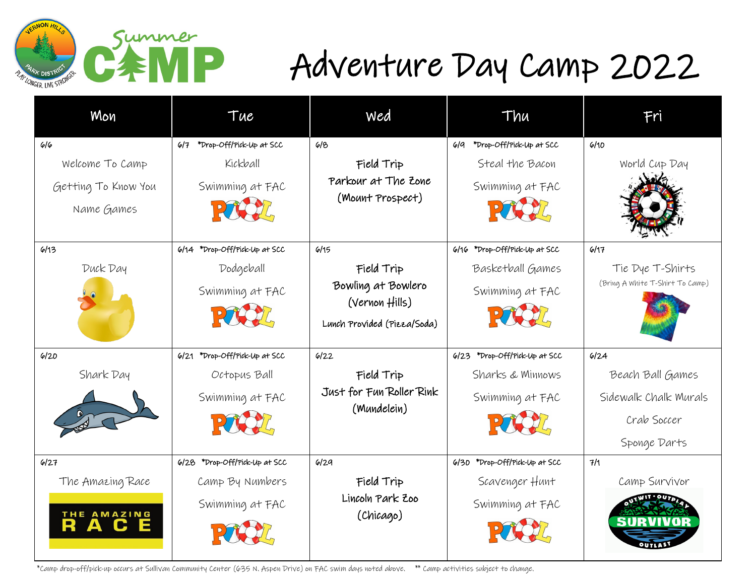

## Adventure Day Camp 2022

| Mon                 | Tue                           | wed                                           | Thu                              | Fri                             |
|---------------------|-------------------------------|-----------------------------------------------|----------------------------------|---------------------------------|
| 6/6                 | 6/7 *Drop-Off/Pick-Up at SCC  | 618                                           | *Drop-Off/Pick-Up at SCC<br>619  | 6/10                            |
| Welcome To Camp     | Kickball                      | Field Trip                                    | Steal the Bacon                  | World Cup Day                   |
| Getting To Know You | Swimming at FAC               | Parkour at The Zone                           | Swimming at FAC                  |                                 |
| Name Games          | PACY                          | (Mount Prospect)                              |                                  |                                 |
| 6/13                | 6/14 *Drop-Off/Pick-Up at SCC | 6/15                                          | *Drop-Off/Pick-Up at SCC<br>6/16 | 6/17                            |
| Duck Day            | Dodgeball                     | Field Trip                                    | Basketball Games                 | Tie Dye T-Shirts                |
|                     | Swimming at FAC               | Bowling at Bowlero                            | Swimming at FAC                  | (Bring A White T-Shirt To Camp) |
|                     |                               | (Vernon Hills)<br>Lunch Provided (Pizza/Soda) |                                  |                                 |
| 6/20                | 6/21 *Drop-Off/Pick-Up at SCC | 6/22                                          | 6/23 *Drop-Off/Pick-Up at SCC    | 6/24                            |
| Shark Day           | Octopus Ball                  | Field Trip                                    | Sharks & Minnows                 | Beach Ball Games                |
|                     | Swimming at FAC               | Just for Fun Roller Rink<br>(Mundelein)       | Swimming at FAC                  | Sidewalk Chalk Murals           |
|                     |                               |                                               |                                  | Crab Soccer                     |
|                     |                               |                                               |                                  | Sponge Darts                    |
| 6/27                | 6/28 *Drop-Off/Pick-Up at SCC | 6/29                                          | 6/30 *Drop-Off/Pick-Up at SCC    | 7/1                             |
| The Amazing Race    | Camp By Numbers               | Field Trip                                    | Scavenger Hunt                   | Camp Survivor                   |
|                     | Swimming at FAC               | Lincoln Park Zoo                              | Swimming at FAC                  |                                 |
| THE AMAZING         |                               | (Chicago)                                     |                                  |                                 |

\*Camp drop-off/pick-up occurs at Sullivan Community Center (635 N. Aspen Drive) on FAC swim days noted above. \*\* Camp activities subject to change.